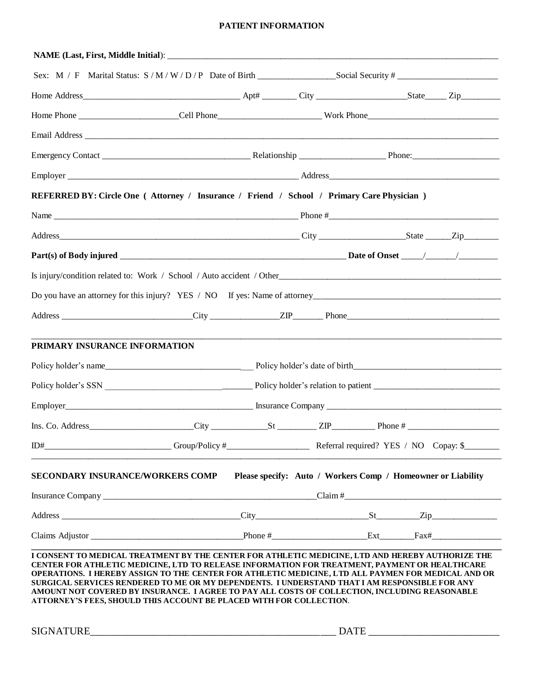### **PATIENT INFORMATION**

|                                  | REFERRED BY: Circle One (Attorney / Insurance / Friend / School / Primary Care Physician)                                                                                                                                                                                                                                                                                                                                                                                                                                                                                        |  |                                                              |  |  |  |
|----------------------------------|----------------------------------------------------------------------------------------------------------------------------------------------------------------------------------------------------------------------------------------------------------------------------------------------------------------------------------------------------------------------------------------------------------------------------------------------------------------------------------------------------------------------------------------------------------------------------------|--|--------------------------------------------------------------|--|--|--|
|                                  |                                                                                                                                                                                                                                                                                                                                                                                                                                                                                                                                                                                  |  |                                                              |  |  |  |
|                                  |                                                                                                                                                                                                                                                                                                                                                                                                                                                                                                                                                                                  |  |                                                              |  |  |  |
|                                  |                                                                                                                                                                                                                                                                                                                                                                                                                                                                                                                                                                                  |  |                                                              |  |  |  |
|                                  |                                                                                                                                                                                                                                                                                                                                                                                                                                                                                                                                                                                  |  |                                                              |  |  |  |
|                                  |                                                                                                                                                                                                                                                                                                                                                                                                                                                                                                                                                                                  |  |                                                              |  |  |  |
|                                  |                                                                                                                                                                                                                                                                                                                                                                                                                                                                                                                                                                                  |  |                                                              |  |  |  |
|                                  |                                                                                                                                                                                                                                                                                                                                                                                                                                                                                                                                                                                  |  |                                                              |  |  |  |
| PRIMARY INSURANCE INFORMATION    |                                                                                                                                                                                                                                                                                                                                                                                                                                                                                                                                                                                  |  |                                                              |  |  |  |
|                                  | Policy holder's name                                                                                                                                                                                                                                                                                                                                                                                                                                                                                                                                                             |  |                                                              |  |  |  |
|                                  |                                                                                                                                                                                                                                                                                                                                                                                                                                                                                                                                                                                  |  |                                                              |  |  |  |
|                                  |                                                                                                                                                                                                                                                                                                                                                                                                                                                                                                                                                                                  |  |                                                              |  |  |  |
|                                  | $Ins. Co. Address$ $City$ $City$ $St$ $ZIP$ $ZIP$ $Phone$ $#$ $2#$                                                                                                                                                                                                                                                                                                                                                                                                                                                                                                               |  |                                                              |  |  |  |
|                                  |                                                                                                                                                                                                                                                                                                                                                                                                                                                                                                                                                                                  |  |                                                              |  |  |  |
| SECONDARY INSURANCE/WORKERS COMP |                                                                                                                                                                                                                                                                                                                                                                                                                                                                                                                                                                                  |  | Please specify: Auto / Workers Comp / Homeowner or Liability |  |  |  |
|                                  |                                                                                                                                                                                                                                                                                                                                                                                                                                                                                                                                                                                  |  |                                                              |  |  |  |
|                                  |                                                                                                                                                                                                                                                                                                                                                                                                                                                                                                                                                                                  |  |                                                              |  |  |  |
|                                  |                                                                                                                                                                                                                                                                                                                                                                                                                                                                                                                                                                                  |  |                                                              |  |  |  |
|                                  | I CONSENT TO MEDICAL TREATMENT BY THE CENTER FOR ATHLETIC MEDICINE, LTD AND HEREBY AUTHORIZE THE<br>CENTER FOR ATHLETIC MEDICINE, LTD TO RELEASE INFORMATION FOR TREATMENT, PAYMENT OR HEALTHCARE<br>OPERATIONS. I HEREBY ASSIGN TO THE CENTER FOR ATHLETIC MEDICINE, LTD ALL PAYMEN FOR MEDICAL AND OR<br>SURGICAL SERVICES RENDERED TO ME OR MY DEPENDENTS. I UNDERSTAND THAT I AM RESPONSIBLE FOR ANY<br>AMOUNT NOT COVERED BY INSURANCE. I AGREE TO PAY ALL COSTS OF COLLECTION, INCLUDING REASONABLE<br>ATTORNEY'S FEES, SHOULD THIS ACCOUNT BE PLACED WITH FOR COLLECTION. |  |                                                              |  |  |  |
|                                  | DATE                                                                                                                                                                                                                                                                                                                                                                                                                                                                                                                                                                             |  |                                                              |  |  |  |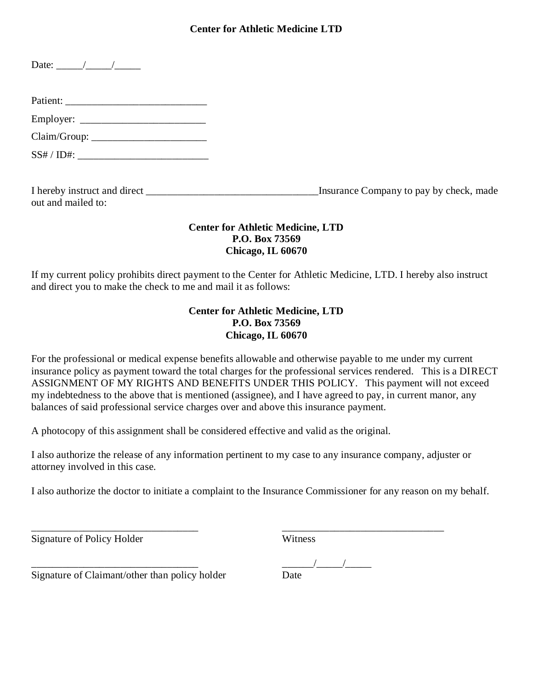## **Center for Athletic Medicine LTD**

I hereby instruct and direct \_\_\_\_\_\_\_\_\_\_\_\_\_\_\_\_\_\_\_\_\_\_\_\_\_\_\_\_\_\_\_\_\_Insurance Company to pay by check, made out and mailed to:

## **Center for Athletic Medicine, LTD P.O. Box 73569 Chicago, IL 60670**

If my current policy prohibits direct payment to the Center for Athletic Medicine, LTD. I hereby also instruct and direct you to make the check to me and mail it as follows:

## **Center for Athletic Medicine, LTD P.O. Box 73569 Chicago, IL 60670**

For the professional or medical expense benefits allowable and otherwise payable to me under my current insurance policy as payment toward the total charges for the professional services rendered. This is a DIRECT ASSIGNMENT OF MY RIGHTS AND BENEFITS UNDER THIS POLICY. This payment will not exceed my indebtedness to the above that is mentioned (assignee), and I have agreed to pay, in current manor, any balances of said professional service charges over and above this insurance payment.

A photocopy of this assignment shall be considered effective and valid as the original.

I also authorize the release of any information pertinent to my case to any insurance company, adjuster or attorney involved in this case.

I also authorize the doctor to initiate a complaint to the Insurance Commissioner for any reason on my behalf.

Signature of Policy Holder Witness

\_\_\_\_\_\_\_\_\_\_\_\_\_\_\_\_\_\_\_\_\_\_\_\_\_\_\_\_\_\_\_\_ \_\_\_\_\_\_\_\_\_\_\_\_\_\_\_\_\_\_\_\_\_\_\_\_\_\_\_\_\_\_\_

 $\frac{1}{\text{Date}}$ 

Signature of Claimant/other than policy holder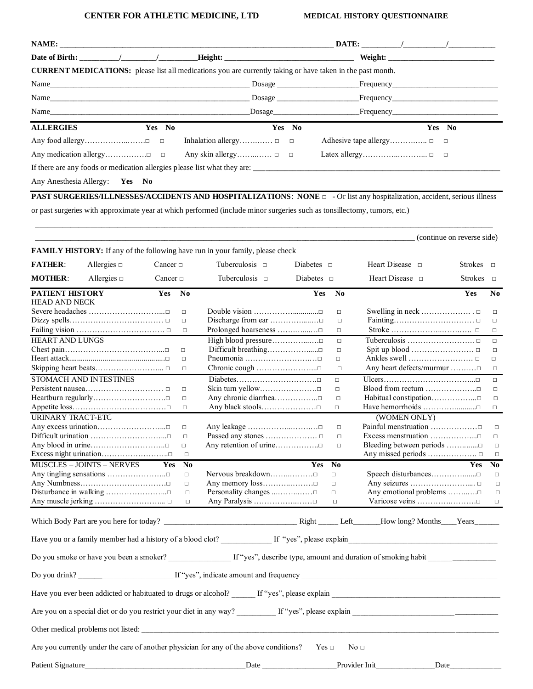#### **CENTER FOR ATHLETIC MEDICINE, LTD MEDICAL HISTORY QUESTIONNAIRE**

|                                                                                                                   |        | $\textbf{DATE:}$ / /                                                                                                                                                                                                           |
|-------------------------------------------------------------------------------------------------------------------|--------|--------------------------------------------------------------------------------------------------------------------------------------------------------------------------------------------------------------------------------|
|                                                                                                                   |        | Weight: Weight:                                                                                                                                                                                                                |
| <b>CURRENT MEDICATIONS:</b> please list all medications you are currently taking or have taken in the past month. |        |                                                                                                                                                                                                                                |
|                                                                                                                   |        |                                                                                                                                                                                                                                |
|                                                                                                                   |        |                                                                                                                                                                                                                                |
|                                                                                                                   |        | Name Dosage Frequency Reserves the Dosage Reserves Reserves and the Second Legislation of the Second Legislation of the Second Legislation of the Second Legislation of the Second Legislation of the Second Legislation of th |
| <b>ALLERGIES</b>                                                                                                  | Yes No | Yes No                                                                                                                                                                                                                         |
|                                                                                                                   |        |                                                                                                                                                                                                                                |
|                                                                                                                   |        |                                                                                                                                                                                                                                |
|                                                                                                                   |        | If there are any foods or medication allergies please list what they are:                                                                                                                                                      |
| Any Anesthesia Allergy: Yes No                                                                                    |        |                                                                                                                                                                                                                                |

**PAST SURGERIES/ILLNESSES/ACCIDENTS AND HOSPITALIZATIONS**: **NONE** □ - Or list any hospitalization, accident, serious illness or past surgeries with approximate year at which performed (include minor surgeries such as tonsillectomy, tumors, etc.)

\_\_\_\_\_\_\_\_\_\_\_\_\_\_\_\_\_\_\_\_\_\_\_\_\_\_\_\_\_\_\_\_\_\_\_\_\_\_\_\_\_\_\_\_\_\_\_\_\_\_\_\_\_\_\_\_\_\_\_\_\_\_\_\_\_\_\_\_\_\_\_\_\_\_\_\_\_\_\_\_\_\_\_\_\_\_\_\_\_\_\_\_\_\_\_\_\_\_\_\_\_\_\_\_\_\_\_\_\_\_\_\_\_\_\_\_\_

 $\Box$  (continue on reverse side) **FAMILY HISTORY:** If any of the following have run in your family, please check **FATHER:** Allergies □ Cancer □ Tuberculosis □ Diabetes □ Heart Disease □ Strokes □ **MOTHER**: Allergies □ Cancer □ Tuberculosis □ Diabetes □ Heart Disease □ Strokes □ **PATIENT HISTORY Yes No Yes No Yes No** HEAD AND NECK Severe headaches ………………………………□ □ Double vision …………………………□ □ Swelling in neck ……………………□ □ Dizzy spells……………………………………□ □ Discharge from ear …………………□ □ Fainting…………………………□ □ Failing vision ……………………………………□ □ Prolonged hoarseness ………………□ □ □ Stroke …………………………… □ □ HEART AND LUNGS High blood pressure…………...….□ □Tuberculosis …………………….. □ □ Chest pain…………………………………………………□ □ Difficult breathing……………………□ □ □ Spit up blood …………………………□ □ □ Heart attack.................................................□ □ Pneumonia …………………….…□ □ Ankles swell ……………………. □ □ Skipping heart beats………………………………□ □ □ Chronic cough ………………………□ □ △ Any heart defects/murmur …………□ □ STOMACH AND INTESTINES Diabetes………………………….□ □ Ulcers……………………………...□ □ Persistent nausea…………………………………□ □ Skin turn yellow…………………□ □ Blood from rectum …………………□ □ Heartburn regularly………………………………□ □ Any chronic diarrhea………………□ □ Habitual constipation………………□ □ Appetite loss…………………………………□ □ Any black stools……………………□ □ Have hemorrhoids ……………………□ □ URINARY TRACT-ETC (WOMEN ONLY) Any excess urination……………………………□ Any leakage …………………………□ Painful menstruation …………………□ □ Difficult urination ………………………...□ □ Passed any stones .………………. □ □ Excess menstruation ……………....□ □ Any blood in urine…………………………□ □ Any retention of urine………………□ □ Bleeding between periods ……………□ □ Excess night urination……………………..□ □ Any missed periods ………………. □ □ MUSCLES – JOINTS – NERVES **Yes No Yes No Yes No**  Any tingling sensations ………………………□ □ Nervous breakdown………………□ □ Speech disturbances………………□ □ Any Numbness………………………………□ □ Any memory loss……………………□ □ Any seizures ………………………□ □ Disturbance in walking …………………...□ □ Personality changes ...……..……□ □ Any emotional problems ……..….□ □ Any muscle jerking …………………….... □ □ Any Paralysis ……………..……□ □ Varicose veins ………….……….□ □

Which Body Part are you here for today? \_\_\_\_\_\_\_\_\_\_\_\_\_\_\_\_\_\_\_\_\_\_\_\_\_\_\_\_\_\_\_\_\_\_ Right \_\_\_\_\_ Left\_\_\_\_\_\_\_How long? Months\_\_\_\_Years\_\_\_\_\_\_ Have you or a family member had a history of a blood clot? If "yes", please explain Do you smoke or have you been a smoker? \_\_\_\_\_\_\_\_\_\_\_\_\_\_\_\_ If "yes", describe type, amount and duration of smoking habit \_\_\_\_\_\_\_\_\_\_\_\_\_\_\_\_\_ Do you drink? \_\_\_\_\_\_\_\_\_\_\_\_\_\_\_\_\_\_\_\_\_\_\_\_ If "yes", indicate amount and frequency \_\_\_\_\_\_\_\_\_\_\_\_\_\_\_\_\_\_\_\_\_\_\_\_\_\_\_\_\_\_\_\_\_\_\_\_\_\_\_\_\_\_\_\_\_\_\_\_\_\_ Have you ever been addicted or habituated to drugs or alcohol? If "yes", please explain Are you on a special diet or do you restrict your diet in any way? \_\_\_\_\_\_\_\_\_\_ If "yes", please explain \_\_\_\_\_\_\_\_\_\_\_\_\_\_\_\_\_\_\_\_\_\_\_\_\_\_\_\_\_\_\_\_\_\_\_\_\_ Other medical problems not listed: \_\_\_\_\_\_\_\_\_\_\_\_\_\_\_\_\_\_\_\_\_\_\_\_\_\_\_\_\_\_\_\_\_\_\_\_\_\_\_\_\_\_\_\_\_\_\_\_\_\_\_\_\_\_\_\_\_\_\_\_\_\_\_\_\_\_\_\_\_\_\_\_\_\_\_\_\_\_\_\_\_\_\_\_\_\_\_\_\_\_\_ Are you currently under the care of another physician for any of the above conditions? Yes  $\Box$  No  $\Box$ Patient Signature\_\_\_\_\_\_\_\_\_\_\_\_\_\_\_\_\_\_\_\_\_\_\_\_\_\_\_\_\_\_\_\_\_\_\_\_\_\_\_\_\_Date \_\_\_\_\_\_\_\_\_\_\_\_\_\_\_\_\_\_\_Provider Init\_\_\_\_\_\_\_\_\_\_\_\_\_\_\_Date\_\_\_\_\_\_\_\_\_\_\_\_\_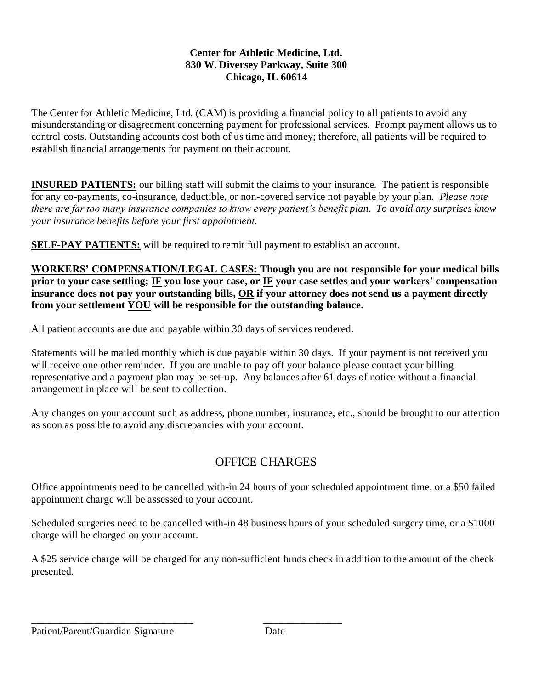## **Center for Athletic Medicine, Ltd. 830 W. Diversey Parkway, Suite 300 Chicago, IL 60614**

The Center for Athletic Medicine, Ltd. (CAM) is providing a financial policy to all patients to avoid any misunderstanding or disagreement concerning payment for professional services. Prompt payment allows us to control costs. Outstanding accounts cost both of us time and money; therefore, all patients will be required to establish financial arrangements for payment on their account.

**INSURED PATIENTS:** our billing staff will submit the claims to your insurance. The patient is responsible for any co-payments, co-insurance, deductible, or non-covered service not payable by your plan. *Please note there are far too many insurance companies to know every patient's benefit plan. To avoid any surprises know your insurance benefits before your first appointment.*

**SELF-PAY PATIENTS:** will be required to remit full payment to establish an account.

**WORKERS' COMPENSATION/LEGAL CASES: Though you are not responsible for your medical bills prior to your case settling; IF you lose your case, or IF your case settles and your workers' compensation insurance does not pay your outstanding bills, OR if your attorney does not send us a payment directly from your settlement YOU will be responsible for the outstanding balance.** 

All patient accounts are due and payable within 30 days of services rendered.

\_\_\_\_\_\_\_\_\_\_\_\_\_\_\_\_\_\_\_\_\_\_\_\_\_\_\_\_\_\_\_ \_\_\_\_\_\_\_\_\_\_\_\_\_\_\_

Statements will be mailed monthly which is due payable within 30 days. If your payment is not received you will receive one other reminder. If you are unable to pay off your balance please contact your billing representative and a payment plan may be set-up. Any balances after 61 days of notice without a financial arrangement in place will be sent to collection.

Any changes on your account such as address, phone number, insurance, etc., should be brought to our attention as soon as possible to avoid any discrepancies with your account.

# OFFICE CHARGES

Office appointments need to be cancelled with-in 24 hours of your scheduled appointment time, or a \$50 failed appointment charge will be assessed to your account.

Scheduled surgeries need to be cancelled with-in 48 business hours of your scheduled surgery time, or a \$1000 charge will be charged on your account.

A \$25 service charge will be charged for any non-sufficient funds check in addition to the amount of the check presented.